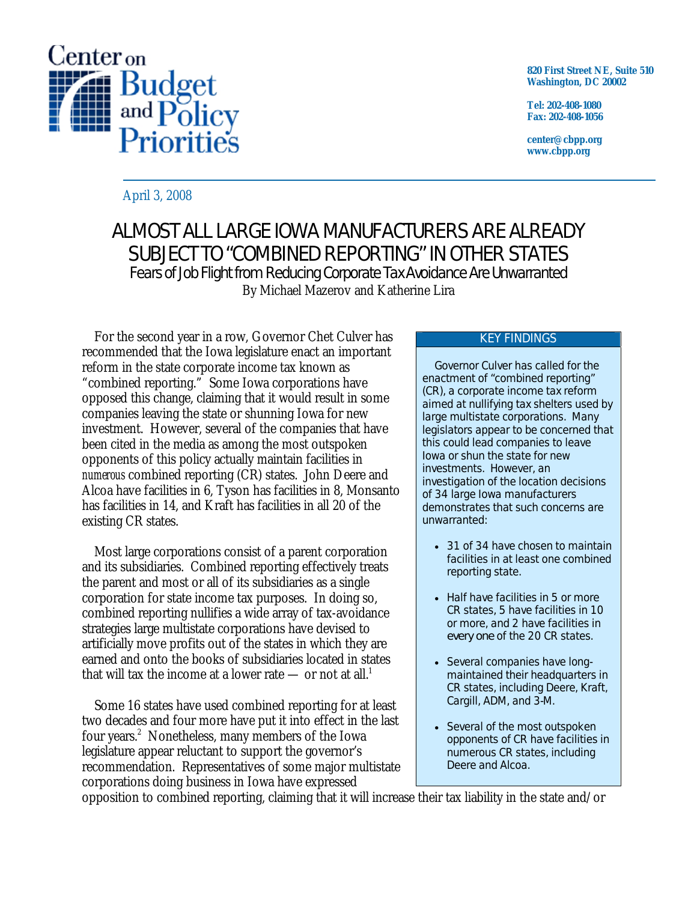

**820 First Street NE, Suite 510 Washington, DC 20002** 

**Tel: 202-408-1080 Fax: 202-408-1056** 

**center@cbpp.org www.cbpp.org** 

April 3, 2008

## ALMOST ALL LARGE IOWA MANUFACTURERS ARE ALREADY SUBJECT TO "COMBINED REPORTING" IN OTHER STATES Fears of Job Flight from Reducing Corporate Tax Avoidance Are Unwarranted

By Michael Mazerov and Katherine Lira

For the second year in a row, Governor Chet Culver has recommended that the Iowa legislature enact an important reform in the state corporate income tax known as "combined reporting." Some Iowa corporations have opposed this change, claiming that it would result in some companies leaving the state or shunning Iowa for new investment. However, several of the companies that have been cited in the media as among the most outspoken opponents of this policy actually maintain facilities in *numerous* combined reporting (CR) states. John Deere and Alcoa have facilities in 6, Tyson has facilities in 8, Monsanto has facilities in 14, and Kraft has facilities in all 20 of the existing CR states.

Most large corporations consist of a parent corporation and its subsidiaries. Combined reporting effectively treats the parent and most or all of its subsidiaries as a single corporation for state income tax purposes. In doing so, combined reporting nullifies a wide array of tax-avoidance strategies large multistate corporations have devised to artificially move profits out of the states in which they are earned and onto the books of subsidiaries located in states that will tax the income at a lower rate — or not at all.<sup>1</sup>

Some 16 states have used combined reporting for at least two decades and four more have put it into effect in the last four years.<sup>2</sup> Nonetheless, many members of the Iowa legislature appear reluctant to support the governor's recommendation. Representatives of some major multistate corporations doing business in Iowa have expressed

#### KEY FINDINGS

Governor Culver has called for the enactment of "combined reporting" (CR), a corporate income tax reform aimed at nullifying tax shelters used by large multistate corporations. Many legislators appear to be concerned that this could lead companies to leave Iowa or shun the state for new investments. However, an investigation of the location decisions of 34 large Iowa manufacturers demonstrates that such concerns are unwarranted:

- 31 of 34 have chosen to maintain facilities in at least one combined reporting state.
- Half have facilities in 5 or more CR states, 5 have facilities in 10 or more, and 2 have facilities in *every one* of the 20 CR states.
- Several companies have longmaintained their headquarters in CR states, including Deere, Kraft, Cargill, ADM, and 3-M.
- Several of the most outspoken opponents of CR have facilities in numerous CR states, including Deere and Alcoa.

opposition to combined reporting, claiming that it will increase their tax liability in the state and/or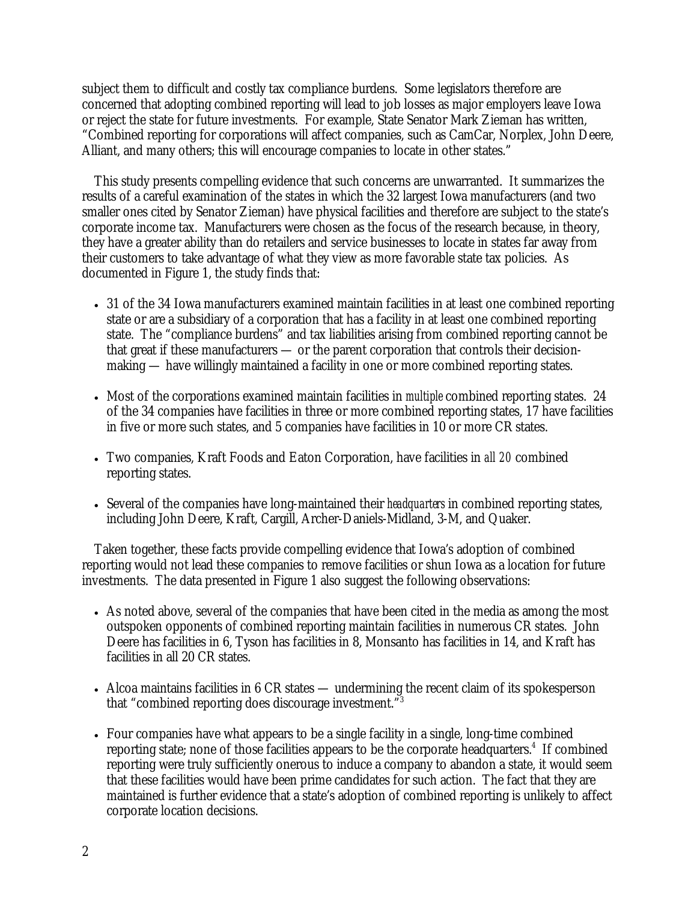subject them to difficult and costly tax compliance burdens. Some legislators therefore are concerned that adopting combined reporting will lead to job losses as major employers leave Iowa or reject the state for future investments. For example, State Senator Mark Zieman has written, "Combined reporting for corporations will affect companies, such as CamCar, Norplex, John Deere, Alliant, and many others; this will encourage companies to locate in other states."

This study presents compelling evidence that such concerns are unwarranted. It summarizes the results of a careful examination of the states in which the 32 largest Iowa manufacturers (and two smaller ones cited by Senator Zieman) have physical facilities and therefore are subject to the state's corporate income tax. Manufacturers were chosen as the focus of the research because, in theory, they have a greater ability than do retailers and service businesses to locate in states far away from their customers to take advantage of what they view as more favorable state tax policies. As documented in Figure 1, the study finds that:

- 31 of the 34 Iowa manufacturers examined maintain facilities in at least one combined reporting state or are a subsidiary of a corporation that has a facility in at least one combined reporting state. The "compliance burdens" and tax liabilities arising from combined reporting cannot be that great if these manufacturers — or the parent corporation that controls their decisionmaking — have willingly maintained a facility in one or more combined reporting states.
- Most of the corporations examined maintain facilities in *multiple* combined reporting states. 24 of the 34 companies have facilities in three or more combined reporting states, 17 have facilities in five or more such states, and 5 companies have facilities in 10 or more CR states.
- Two companies, Kraft Foods and Eaton Corporation, have facilities in *all 20* combined reporting states.
- Several of the companies have long-maintained their *headquarters* in combined reporting states, including John Deere, Kraft, Cargill, Archer-Daniels-Midland, 3-M, and Quaker.

Taken together, these facts provide compelling evidence that Iowa's adoption of combined reporting would not lead these companies to remove facilities or shun Iowa as a location for future investments. The data presented in Figure 1 also suggest the following observations:

- As noted above, several of the companies that have been cited in the media as among the most outspoken opponents of combined reporting maintain facilities in numerous CR states. John Deere has facilities in 6, Tyson has facilities in 8, Monsanto has facilities in 14, and Kraft has facilities in all 20 CR states.
- Alcoa maintains facilities in 6 CR states undermining the recent claim of its spokesperson that "combined reporting does discourage investment."
- Four companies have what appears to be a single facility in a single, long-time combined reporting state; none of those facilities appears to be the corporate headquarters.<sup>4</sup> If combined reporting were truly sufficiently onerous to induce a company to abandon a state, it would seem that these facilities would have been prime candidates for such action. The fact that they are maintained is further evidence that a state's adoption of combined reporting is unlikely to affect corporate location decisions.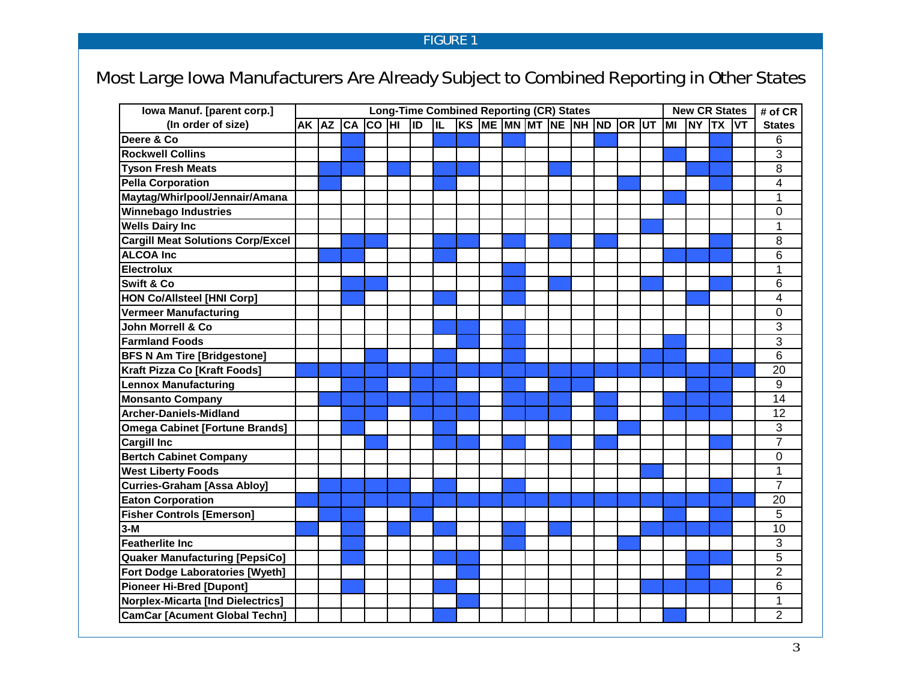## FIGURE 1

# Most Large Iowa Manufacturers Are Already Subject to Combined Reporting in Other States

| Iowa Manuf. [parent corp.]               | <b>Long-Time Combined Reporting (CR) States</b> |  |  |  |     |    |                            | <b>New CR States</b> | # of CR |  |  |    |       |     |                |
|------------------------------------------|-------------------------------------------------|--|--|--|-----|----|----------------------------|----------------------|---------|--|--|----|-------|-----|----------------|
| (In order of size)                       | AK AZ CA CO HI                                  |  |  |  | lıd | ĪĽ | KS ME MN MT NE NH ND OR UT |                      |         |  |  | MI | NY TX | lvt | <b>States</b>  |
| Deere & Co                               |                                                 |  |  |  |     |    |                            |                      |         |  |  |    |       |     | 6              |
| <b>Rockwell Collins</b>                  |                                                 |  |  |  |     |    |                            |                      |         |  |  |    |       |     | 3              |
| <b>Tyson Fresh Meats</b>                 |                                                 |  |  |  |     |    |                            |                      |         |  |  |    |       |     | 8              |
| <b>Pella Corporation</b>                 |                                                 |  |  |  |     |    |                            |                      |         |  |  |    |       |     | $\overline{4}$ |
| Maytag/Whirlpool/Jennair/Amana           |                                                 |  |  |  |     |    |                            |                      |         |  |  |    |       |     | 1              |
| <b>Winnebago Industries</b>              |                                                 |  |  |  |     |    |                            |                      |         |  |  |    |       |     | $\Omega$       |
| <b>Wells Dairy Inc</b>                   |                                                 |  |  |  |     |    |                            |                      |         |  |  |    |       |     | 1              |
| <b>Cargill Meat Solutions Corp/Excel</b> |                                                 |  |  |  |     |    |                            |                      |         |  |  |    |       |     | 8              |
| <b>ALCOA Inc</b>                         |                                                 |  |  |  |     |    |                            |                      |         |  |  |    |       |     | 6              |
| <b>Electrolux</b>                        |                                                 |  |  |  |     |    |                            |                      |         |  |  |    |       |     | 1              |
| Swift & Co                               |                                                 |  |  |  |     |    |                            |                      |         |  |  |    |       |     | 6              |
| <b>HON Co/Allsteel [HNI Corp]</b>        |                                                 |  |  |  |     |    |                            |                      |         |  |  |    |       |     | 4              |
| <b>Vermeer Manufacturing</b>             |                                                 |  |  |  |     |    |                            |                      |         |  |  |    |       |     | $\mathbf 0$    |
| John Morrell & Co                        |                                                 |  |  |  |     |    |                            |                      |         |  |  |    |       |     | 3              |
| <b>Farmland Foods</b>                    |                                                 |  |  |  |     |    |                            |                      |         |  |  |    |       |     | 3              |
| <b>BFS N Am Tire [Bridgestone]</b>       |                                                 |  |  |  |     |    |                            |                      |         |  |  |    |       |     | 6              |
| Kraft Pizza Co [Kraft Foods]             |                                                 |  |  |  |     |    |                            |                      |         |  |  |    |       |     | 20             |
| <b>Lennox Manufacturing</b>              |                                                 |  |  |  |     |    |                            |                      |         |  |  |    |       |     | 9              |
| <b>Monsanto Company</b>                  |                                                 |  |  |  |     |    |                            |                      |         |  |  |    |       |     | 14             |
| <b>Archer-Daniels-Midland</b>            |                                                 |  |  |  |     |    |                            |                      |         |  |  |    |       |     | 12             |
| <b>Omega Cabinet [Fortune Brands]</b>    |                                                 |  |  |  |     |    |                            |                      |         |  |  |    |       |     | 3              |
| <b>Cargill Inc</b>                       |                                                 |  |  |  |     |    |                            |                      |         |  |  |    |       |     | $\overline{7}$ |
| <b>Bertch Cabinet Company</b>            |                                                 |  |  |  |     |    |                            |                      |         |  |  |    |       |     | $\mathbf 0$    |
| <b>West Liberty Foods</b>                |                                                 |  |  |  |     |    |                            |                      |         |  |  |    |       |     | $\mathbf{1}$   |
| <b>Curries-Graham [Assa Abloy]</b>       |                                                 |  |  |  |     |    |                            |                      |         |  |  |    |       |     | $\overline{7}$ |
| <b>Eaton Corporation</b>                 |                                                 |  |  |  |     |    |                            |                      |         |  |  |    |       |     | 20             |
| <b>Fisher Controls [Emerson]</b>         |                                                 |  |  |  |     |    |                            |                      |         |  |  |    |       |     | 5              |
| $3-M$                                    |                                                 |  |  |  |     |    |                            |                      |         |  |  |    |       |     | 10             |
| <b>Featherlite Inc.</b>                  |                                                 |  |  |  |     |    |                            |                      |         |  |  |    |       |     | 3              |
| <b>Quaker Manufacturing [PepsiCo]</b>    |                                                 |  |  |  |     |    |                            |                      |         |  |  |    |       |     | 5              |
| <b>Fort Dodge Laboratories [Wyeth]</b>   |                                                 |  |  |  |     |    |                            |                      |         |  |  |    |       |     | $\overline{2}$ |
| <b>Pioneer Hi-Bred [Dupont]</b>          |                                                 |  |  |  |     |    |                            |                      |         |  |  |    |       |     | 6              |
| <b>Norplex-Micarta [Ind Dielectrics]</b> |                                                 |  |  |  |     |    |                            |                      |         |  |  |    |       |     | 1              |
| <b>CamCar [Acument Global Techn]</b>     |                                                 |  |  |  |     |    |                            |                      |         |  |  |    |       |     | $\overline{2}$ |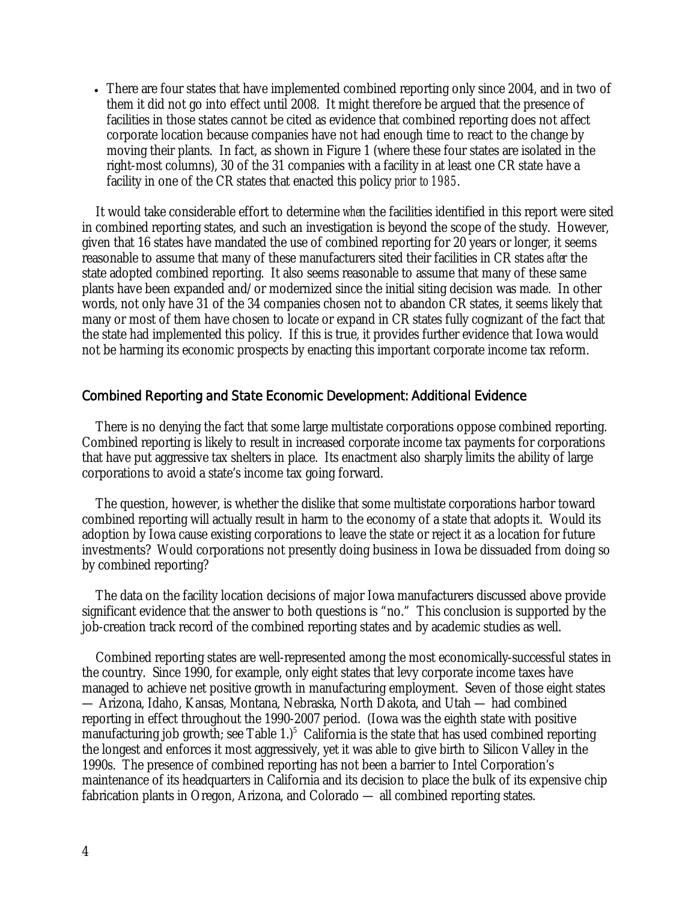• There are four states that have implemented combined reporting only since 2004, and in two of them it did not go into effect until 2008. It might therefore be argued that the presence of facilities in those states cannot be cited as evidence that combined reporting does not affect corporate location because companies have not had enough time to react to the change by moving their plants. In fact, as shown in Figure 1 (where these four states are isolated in the right-most columns), 30 of the 31 companies with a facility in at least one CR state have a facility in one of the CR states that enacted this policy *prior to 1985*.

 It would take considerable effort to determine *when* the facilities identified in this report were sited in combined reporting states, and such an investigation is beyond the scope of the study. However, given that 16 states have mandated the use of combined reporting for 20 years or longer, it seems reasonable to assume that many of these manufacturers sited their facilities in CR states *after* the state adopted combined reporting. It also seems reasonable to assume that many of these same plants have been expanded and/or modernized since the initial siting decision was made. In other words, not only have 31 of the 34 companies chosen not to abandon CR states, it seems likely that many or most of them have chosen to locate or expand in CR states fully cognizant of the fact that the state had implemented this policy. If this is true, it provides further evidence that Iowa would not be harming its economic prospects by enacting this important corporate income tax reform.

## Combined Reporting and State Economic Development: Additional Evidence

 There is no denying the fact that some large multistate corporations oppose combined reporting. Combined reporting is likely to result in increased corporate income tax payments for corporations that have put aggressive tax shelters in place. Its enactment also sharply limits the ability of large corporations to avoid a state's income tax going forward.

 The question, however, is whether the dislike that some multistate corporations harbor toward combined reporting will actually result in harm to the economy of a state that adopts it. Would its adoption by Iowa cause existing corporations to leave the state or reject it as a location for future investments? Would corporations not presently doing business in Iowa be dissuaded from doing so by combined reporting?

 The data on the facility location decisions of major Iowa manufacturers discussed above provide significant evidence that the answer to both questions is "no." This conclusion is supported by the job-creation track record of the combined reporting states and by academic studies as well.

 Combined reporting states are well-represented among the most economically-successful states in the country. Since 1990, for example, only eight states that levy corporate income taxes have managed to achieve net positive growth in manufacturing employment. Seven of those eight states — Arizona, Idaho, Kansas, Montana, Nebraska, North Dakota, and Utah — had combined reporting in effect throughout the 1990-2007 period. (Iowa was the eighth state with positive manufacturing job growth; see Table  $1$ .)<sup>5</sup> California is the state that has used combined reporting the longest and enforces it most aggressively, yet it was able to give birth to Silicon Valley in the 1990s. The presence of combined reporting has not been a barrier to Intel Corporation's maintenance of its headquarters in California and its decision to place the bulk of its expensive chip fabrication plants in Oregon, Arizona, and Colorado — all combined reporting states.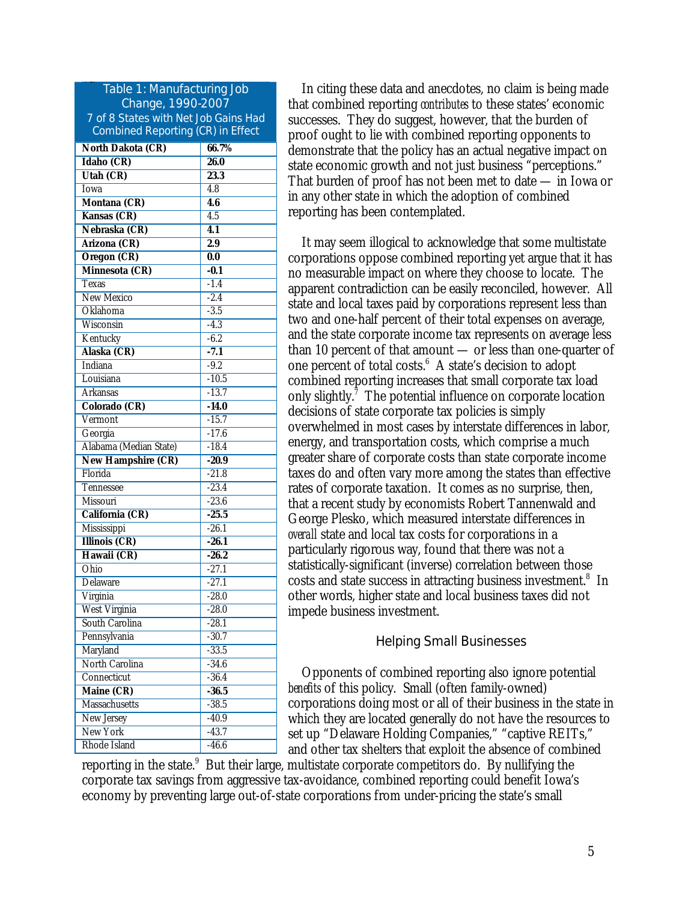| Table 1: Manufacturing Job                |                    |  |  |  |  |  |  |  |
|-------------------------------------------|--------------------|--|--|--|--|--|--|--|
| Change, 1990-2007                         |                    |  |  |  |  |  |  |  |
| 7 of 8 States with Net Job Gains Had      |                    |  |  |  |  |  |  |  |
| <b>Combined Reporting (CR) in Effect</b>  |                    |  |  |  |  |  |  |  |
| <b>North Dakota (CR)</b>                  | 66.7%              |  |  |  |  |  |  |  |
| Idaho (CR)                                | 26.0               |  |  |  |  |  |  |  |
| <b>Utah (CR)</b>                          | 23.3               |  |  |  |  |  |  |  |
| <b>Iowa</b>                               | 4.8                |  |  |  |  |  |  |  |
| Montana (CR)                              | 4.6                |  |  |  |  |  |  |  |
| Kansas (CR)                               | 4.5                |  |  |  |  |  |  |  |
| Nebraska (CR)                             | 4.1                |  |  |  |  |  |  |  |
| Arizona (CR)                              | 2.9                |  |  |  |  |  |  |  |
| <b>Oregon (CR)</b>                        | 0.0                |  |  |  |  |  |  |  |
| Minnesota (CR)                            | $-0.1$             |  |  |  |  |  |  |  |
| Texas                                     | $-1.4$             |  |  |  |  |  |  |  |
| New Mexico                                | $-2.4$             |  |  |  |  |  |  |  |
| Oklahoma                                  | $-3.5$             |  |  |  |  |  |  |  |
| Wisconsin                                 | $-4.3$             |  |  |  |  |  |  |  |
| Kentucky                                  | $-6.2$             |  |  |  |  |  |  |  |
| Alaska (CR)                               | $-7.1$             |  |  |  |  |  |  |  |
| Indiana                                   | $-9.2$             |  |  |  |  |  |  |  |
| Louisiana                                 | $-10.5$            |  |  |  |  |  |  |  |
| Arkansas                                  | $-13.7$            |  |  |  |  |  |  |  |
| Colorado (CR)                             | $-14.0$            |  |  |  |  |  |  |  |
| Vermont                                   | $-15.7$            |  |  |  |  |  |  |  |
| Georgia                                   | $-17.6$            |  |  |  |  |  |  |  |
| Alabama (Median State)                    | $-18.4$            |  |  |  |  |  |  |  |
| <b>New Hampshire (CR)</b>                 | $-20.9$            |  |  |  |  |  |  |  |
| Florida                                   | $-21.8$            |  |  |  |  |  |  |  |
| Tennessee                                 | $-23.4$            |  |  |  |  |  |  |  |
| Missouri                                  | $-23.6$            |  |  |  |  |  |  |  |
| California (CR)                           | $-25.5$            |  |  |  |  |  |  |  |
| Mississippi                               | $-26.1$            |  |  |  |  |  |  |  |
| <b>Illinois (CR)</b>                      | $-26.1$            |  |  |  |  |  |  |  |
| Hawaii (CR)                               | $-26.2$            |  |  |  |  |  |  |  |
| Ohio                                      | $-27.1$            |  |  |  |  |  |  |  |
| Delaware                                  | $-27.1$            |  |  |  |  |  |  |  |
| Virginia                                  | $-28.0$            |  |  |  |  |  |  |  |
| <b>West Virginia</b>                      | $-28.0$            |  |  |  |  |  |  |  |
| South Carolina                            | $-28.1$            |  |  |  |  |  |  |  |
| Pennsylvania                              | $-30.7$            |  |  |  |  |  |  |  |
| Maryland<br>North Carolina                | $-33.5$            |  |  |  |  |  |  |  |
| Connecticut                               | $-34.6$<br>$-36.4$ |  |  |  |  |  |  |  |
|                                           |                    |  |  |  |  |  |  |  |
| <b>Maine (CR)</b><br><b>Massachusetts</b> | $-36.5$            |  |  |  |  |  |  |  |
|                                           | $-38.5$            |  |  |  |  |  |  |  |
| New Jersey<br>New York                    | $-40.9$<br>$-43.7$ |  |  |  |  |  |  |  |
| Rhode Island                              | $-46.6$            |  |  |  |  |  |  |  |
|                                           |                    |  |  |  |  |  |  |  |

Ta

 In citing these data and anecdotes, no claim is being made that combined reporting *contributes* to these states' economic successes. They do suggest, however, that the burden of proof ought to lie with combined reporting opponents to demonstrate that the policy has an actual negative impact on state economic growth and not just business "perceptions." That burden of proof has not been met to date — in Iowa or in any other state in which the adoption of combined reporting has been contemplated.

 It may seem illogical to acknowledge that some multistate corporations oppose combined reporting yet argue that it has no measurable impact on where they choose to locate. The apparent contradiction can be easily reconciled, however. All state and local taxes paid by corporations represent less than two and one-half percent of their total expenses on average, and the state corporate income tax represents on average less than 10 percent of that amount — or less than one-quarter of one percent of total costs.<sup>6</sup> A state's decision to adopt combined reporting increases that small corporate tax load only slightly.<sup>7</sup> The potential influence on corporate location decisions of state corporate tax policies is simply overwhelmed in most cases by interstate differences in labor, energy, and transportation costs, which comprise a much greater share of corporate costs than state corporate income taxes do and often vary more among the states than effective rates of corporate taxation. It comes as no surprise, then, that a recent study by economists Robert Tannenwald and George Plesko, which measured interstate differences in *overall* state and local tax costs for corporations in a particularly rigorous way, found that there was not a statistically-significant (inverse) correlation between those costs and state success in attracting business investment.<sup>8</sup> In other words, higher state and local business taxes did not impede business investment.

## Helping Small Businesses

 Opponents of combined reporting also ignore potential *benefits* of this policy. Small (often family-owned) corporations doing most or all of their business in the state in which they are located generally do not have the resources to set up "Delaware Holding Companies," "captive REITs," and other tax shelters that exploit the absence of combined

reporting in the state.<sup>9</sup> But their large, multistate corporate competitors do. By nullifying the corporate tax savings from aggressive tax-avoidance, combined reporting could benefit Iowa's economy by preventing large out-of-state corporations from under-pricing the state's small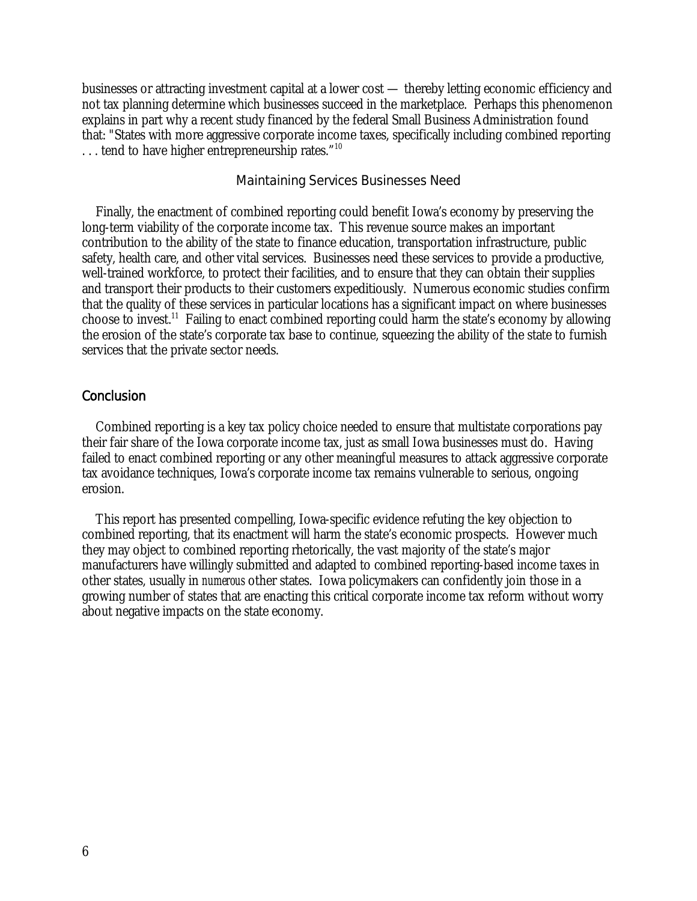businesses or attracting investment capital at a lower cost — thereby letting economic efficiency and not tax planning determine which businesses succeed in the marketplace. Perhaps this phenomenon explains in part why a recent study financed by the federal Small Business Administration found that: "States with more aggressive corporate income taxes, specifically including combined reporting ... tend to have higher entrepreneurship rates."<sup>10</sup>

### Maintaining Services Businesses Need

 Finally, the enactment of combined reporting could benefit Iowa's economy by preserving the long-term viability of the corporate income tax. This revenue source makes an important contribution to the ability of the state to finance education, transportation infrastructure, public safety, health care, and other vital services. Businesses need these services to provide a productive, well-trained workforce, to protect their facilities, and to ensure that they can obtain their supplies and transport their products to their customers expeditiously. Numerous economic studies confirm that the quality of these services in particular locations has a significant impact on where businesses choose to invest.11 Failing to enact combined reporting could harm the state's economy by allowing the erosion of the state's corporate tax base to continue, squeezing the ability of the state to furnish services that the private sector needs.

## **Conclusion**

 Combined reporting is a key tax policy choice needed to ensure that multistate corporations pay their fair share of the Iowa corporate income tax, just as small Iowa businesses must do. Having failed to enact combined reporting or any other meaningful measures to attack aggressive corporate tax avoidance techniques, Iowa's corporate income tax remains vulnerable to serious, ongoing erosion.

 This report has presented compelling, Iowa-specific evidence refuting the key objection to combined reporting, that its enactment will harm the state's economic prospects. However much they may object to combined reporting rhetorically, the vast majority of the state's major manufacturers have willingly submitted and adapted to combined reporting-based income taxes in other states, usually in *numerous* other states. Iowa policymakers can confidently join those in a growing number of states that are enacting this critical corporate income tax reform without worry about negative impacts on the state economy.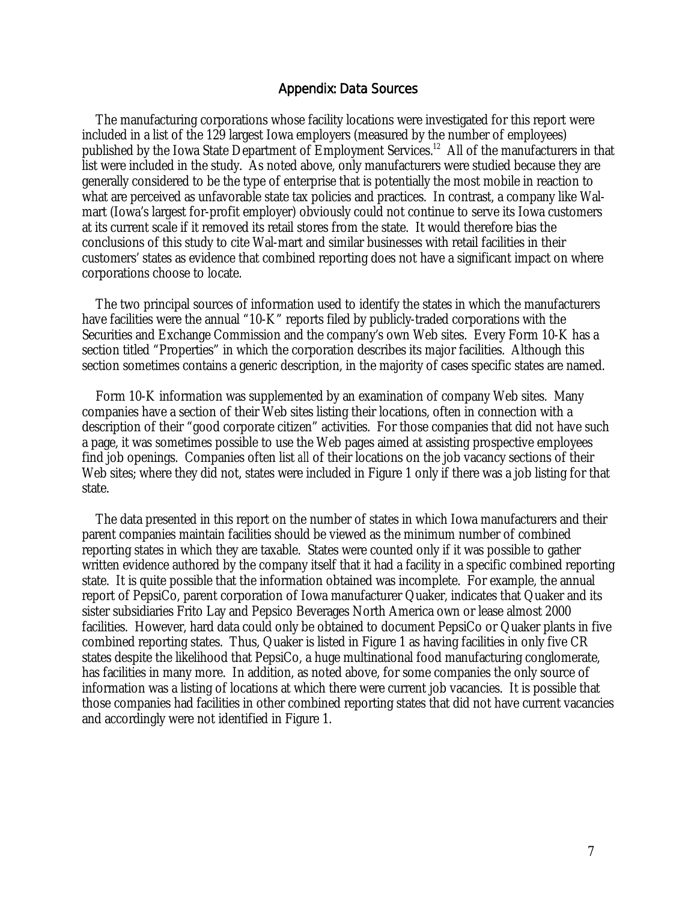### Appendix: Data Sources

 The manufacturing corporations whose facility locations were investigated for this report were included in a list of the 129 largest Iowa employers (measured by the number of employees) published by the Iowa State Department of Employment Services.<sup>12</sup> All of the manufacturers in that list were included in the study. As noted above, only manufacturers were studied because they are generally considered to be the type of enterprise that is potentially the most mobile in reaction to what are perceived as unfavorable state tax policies and practices. In contrast, a company like Walmart (Iowa's largest for-profit employer) obviously could not continue to serve its Iowa customers at its current scale if it removed its retail stores from the state. It would therefore bias the conclusions of this study to cite Wal-mart and similar businesses with retail facilities in their customers' states as evidence that combined reporting does not have a significant impact on where corporations choose to locate.

 The two principal sources of information used to identify the states in which the manufacturers have facilities were the annual "10-K" reports filed by publicly-traded corporations with the Securities and Exchange Commission and the company's own Web sites. Every Form 10-K has a section titled "Properties" in which the corporation describes its major facilities. Although this section sometimes contains a generic description, in the majority of cases specific states are named.

 Form 10-K information was supplemented by an examination of company Web sites. Many companies have a section of their Web sites listing their locations, often in connection with a description of their "good corporate citizen" activities. For those companies that did not have such a page, it was sometimes possible to use the Web pages aimed at assisting prospective employees find job openings. Companies often list *all* of their locations on the job vacancy sections of their Web sites; where they did not, states were included in Figure 1 only if there was a job listing for that state.

 The data presented in this report on the number of states in which Iowa manufacturers and their parent companies maintain facilities should be viewed as the minimum number of combined reporting states in which they are taxable. States were counted only if it was possible to gather written evidence authored by the company itself that it had a facility in a specific combined reporting state. It is quite possible that the information obtained was incomplete. For example, the annual report of PepsiCo, parent corporation of Iowa manufacturer Quaker, indicates that Quaker and its sister subsidiaries Frito Lay and Pepsico Beverages North America own or lease almost 2000 facilities. However, hard data could only be obtained to document PepsiCo or Quaker plants in five combined reporting states. Thus, Quaker is listed in Figure 1 as having facilities in only five CR states despite the likelihood that PepsiCo, a huge multinational food manufacturing conglomerate, has facilities in many more. In addition, as noted above, for some companies the only source of information was a listing of locations at which there were current job vacancies. It is possible that those companies had facilities in other combined reporting states that did not have current vacancies and accordingly were not identified in Figure 1.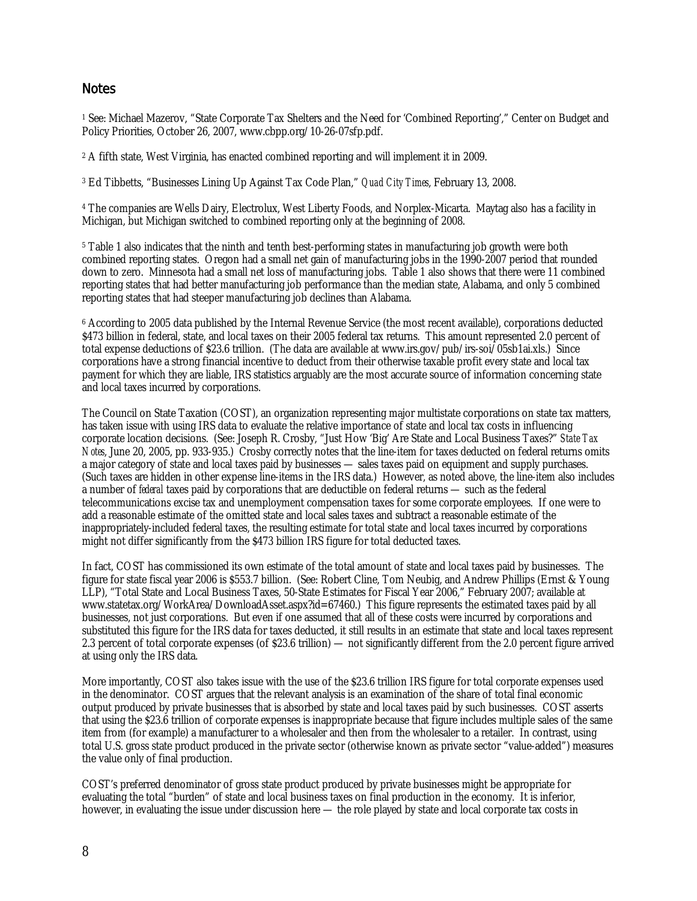## **Notes**

1 See: Michael Mazerov, "State Corporate Tax Shelters and the Need for 'Combined Reporting'," Center on Budget and Policy Priorities, October 26, 2007, www.cbpp.org/10-26-07sfp.pdf.

2 A fifth state, West Virginia, has enacted combined reporting and will implement it in 2009.

3 Ed Tibbetts, "Businesses Lining Up Against Tax Code Plan," *Quad City Times*, February 13, 2008.

4 The companies are Wells Dairy, Electrolux, West Liberty Foods, and Norplex-Micarta. Maytag also has a facility in Michigan, but Michigan switched to combined reporting only at the beginning of 2008.

5 Table 1 also indicates that the ninth and tenth best-performing states in manufacturing job growth were both combined reporting states. Oregon had a small net gain of manufacturing jobs in the 1990-2007 period that rounded down to zero. Minnesota had a small net loss of manufacturing jobs. Table 1 also shows that there were 11 combined reporting states that had better manufacturing job performance than the median state, Alabama, and only 5 combined reporting states that had steeper manufacturing job declines than Alabama.

6 According to 2005 data published by the Internal Revenue Service (the most recent available), corporations deducted \$473 billion in federal, state, and local taxes on their 2005 federal tax returns. This amount represented 2.0 percent of total expense deductions of \$23.6 trillion. (The data are available at www.irs.gov/pub/irs-soi/05sb1ai.xls.) Since corporations have a strong financial incentive to deduct from their otherwise taxable profit every state and local tax payment for which they are liable, IRS statistics arguably are the most accurate source of information concerning state and local taxes incurred by corporations.

The Council on State Taxation (COST), an organization representing major multistate corporations on state tax matters, has taken issue with using IRS data to evaluate the relative importance of state and local tax costs in influencing corporate location decisions. (See: Joseph R. Crosby, "Just How 'Big' Are State and Local Business Taxes?" *State Tax Notes*, June 20, 2005, pp. 933-935.) Crosby correctly notes that the line-item for taxes deducted on federal returns omits a major category of state and local taxes paid by businesses — sales taxes paid on equipment and supply purchases. (Such taxes are hidden in other expense line-items in the IRS data.) However, as noted above, the line-item also includes a number of *federal* taxes paid by corporations that are deductible on federal returns — such as the federal telecommunications excise tax and unemployment compensation taxes for some corporate employees. If one were to add a reasonable estimate of the omitted state and local sales taxes and subtract a reasonable estimate of the inappropriately-included federal taxes, the resulting estimate for total state and local taxes incurred by corporations might not differ significantly from the \$473 billion IRS figure for total deducted taxes.

In fact, COST has commissioned its own estimate of the total amount of state and local taxes paid by businesses. The figure for state fiscal year 2006 is \$553.7 billion. (See: Robert Cline, Tom Neubig, and Andrew Phillips (Ernst & Young LLP), "Total State and Local Business Taxes, 50-State Estimates for Fiscal Year 2006," February 2007; available at www.statetax.org/WorkArea/DownloadAsset.aspx?id=67460.) This figure represents the estimated taxes paid by all businesses, not just corporations. But even if one assumed that all of these costs were incurred by corporations and substituted this figure for the IRS data for taxes deducted, it still results in an estimate that state and local taxes represent 2.3 percent of total corporate expenses (of \$23.6 trillion) — not significantly different from the 2.0 percent figure arrived at using only the IRS data.

More importantly, COST also takes issue with the use of the \$23.6 trillion IRS figure for total corporate expenses used in the denominator. COST argues that the relevant analysis is an examination of the share of total final economic output produced by private businesses that is absorbed by state and local taxes paid by such businesses. COST asserts that using the \$23.6 trillion of corporate expenses is inappropriate because that figure includes multiple sales of the same item from (for example) a manufacturer to a wholesaler and then from the wholesaler to a retailer. In contrast, using total U.S. gross state product produced in the private sector (otherwise known as private sector "value-added") measures the value only of final production.

COST's preferred denominator of gross state product produced by private businesses might be appropriate for evaluating the total "burden" of state and local business taxes on final production in the economy. It is inferior, however, in evaluating the issue under discussion here — the role played by state and local corporate tax costs in